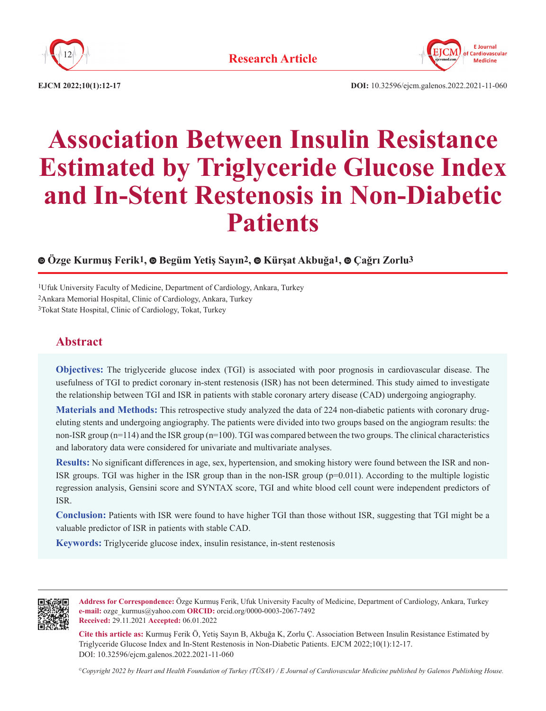



**EJCM 2022;10(1):12-17 DOI:** 10.32596/ejcm.galenos.2022.2021-11-060

# **Association Between Insulin Resistance Estimated by Triglyceride Glucose Index and In-Stent Restenosis in Non-Diabetic Patients**

# **Özge Kurmuş Ferik1,Begüm Yetiş Sayın2,Kürşat Akbuğa1,Çağrı Zorlu3**

1Ufuk University Faculty of Medicine, Department of Cardiology, Ankara, Turkey 2Ankara Memorial Hospital, Clinic of Cardiology, Ankara, Turkey 3Tokat State Hospital, Clinic of Cardiology, Tokat, Turkey

# **Abstract**

**Objectives:** The triglyceride glucose index (TGI) is associated with poor prognosis in cardiovascular disease. The usefulness of TGI to predict coronary in-stent restenosis (ISR) has not been determined. This study aimed to investigate the relationship between TGI and ISR in patients with stable coronary artery disease (CAD) undergoing angiography.

**Materials and Methods:** This retrospective study analyzed the data of 224 non-diabetic patients with coronary drugeluting stents and undergoing angiography. The patients were divided into two groups based on the angiogram results: the non-ISR group (n=114) and the ISR group (n=100). TGI was compared between the two groups. The clinical characteristics and laboratory data were considered for univariate and multivariate analyses.

**Results:** No significant differences in age, sex, hypertension, and smoking history were found between the ISR and non-ISR groups. TGI was higher in the ISR group than in the non-ISR group (p=0.011). According to the multiple logistic regression analysis, Gensini score and SYNTAX score, TGI and white blood cell count were independent predictors of ISR.

**Conclusion:** Patients with ISR were found to have higher TGI than those without ISR, suggesting that TGI might be a valuable predictor of ISR in patients with stable CAD.

**Keywords:** Triglyceride glucose index, insulin resistance, in-stent restenosis



**Address for Correspondence:** Özge Kurmuş Ferik, Ufuk University Faculty of Medicine, Department of Cardiology, Ankara, Turkey **e-mail:** ozge\_kurmus@yahoo.com **ORCID:** orcid.org/0000-0003-2067-7492 **Received:** 29.11.2021 **Accepted:** 06.01.2022

**Cite this article as:** Kurmuş Ferik Ö, Yetiş Sayın B, Akbuğa K, Zorlu Ç. Association Between Insulin Resistance Estimated by Triglyceride Glucose Index and In-Stent Restenosis in Non-Diabetic Patients. EJCM 2022;10(1):12-17. DOI: 10.32596/ejcm.galenos.2022.2021-11-060

*©Copyright 2022 by Heart and Health Foundation of Turkey (TÜSAV) / E Journal of Cardiovascular Medicine published by Galenos Publishing House.*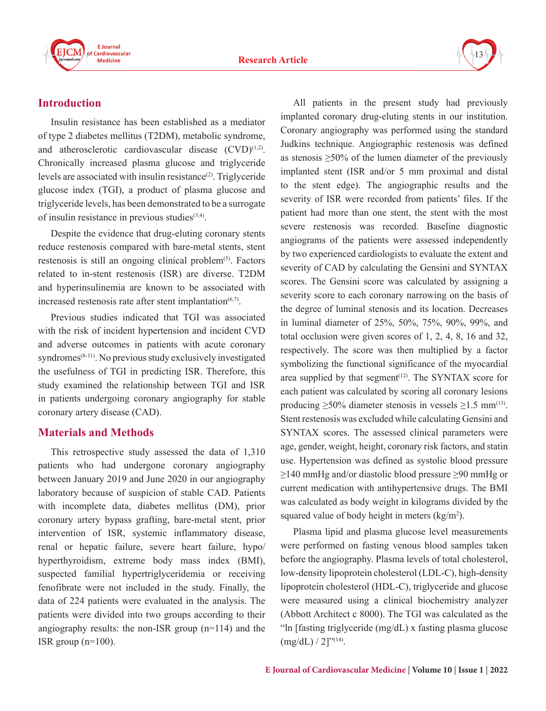

# **Introduction**

Insulin resistance has been established as a mediator of type 2 diabetes mellitus (T2DM), metabolic syndrome, and atherosclerotic cardiovascular disease  $(CVD)^{(1,2)}$ . Chronically increased plasma glucose and triglyceride levels are associated with insulin resistance<sup>(2)</sup>. Triglyceride glucose index (TGI), a product of plasma glucose and triglyceride levels, has been demonstrated to be a surrogate of insulin resistance in previous studies $(3,4)$ .

Despite the evidence that drug-eluting coronary stents reduce restenosis compared with bare-metal stents, stent restenosis is still an ongoing clinical problem<sup>(5)</sup>. Factors related to in-stent restenosis (ISR) are diverse. T2DM and hyperinsulinemia are known to be associated with increased restenosis rate after stent implantation $(6,7)$ .

Previous studies indicated that TGI was associated with the risk of incident hypertension and incident CVD and adverse outcomes in patients with acute coronary syndromes<sup> $(8-11)$ </sup>. No previous study exclusively investigated the usefulness of TGI in predicting ISR. Therefore, this study examined the relationship between TGI and ISR in patients undergoing coronary angiography for stable coronary artery disease (CAD).

# **Materials and Methods**

This retrospective study assessed the data of 1,310 patients who had undergone coronary angiography between January 2019 and June 2020 in our angiography laboratory because of suspicion of stable CAD. Patients with incomplete data, diabetes mellitus (DM), prior coronary artery bypass grafting, bare-metal stent, prior intervention of ISR, systemic inflammatory disease, renal or hepatic failure, severe heart failure, hypo/ hyperthyroidism, extreme body mass index (BMI), suspected familial hypertriglyceridemia or receiving fenofibrate were not included in the study. Finally, the data of 224 patients were evaluated in the analysis. The patients were divided into two groups according to their angiography results: the non-ISR group (n=114) and the ISR group  $(n=100)$ .

All patients in the present study had previously implanted coronary drug-eluting stents in our institution. Coronary angiography was performed using the standard Judkins technique. Angiographic restenosis was defined as stenosis  $\geq 50\%$  of the lumen diameter of the previously implanted stent (ISR and/or 5 mm proximal and distal to the stent edge). The angiographic results and the severity of ISR were recorded from patients' files. If the patient had more than one stent, the stent with the most severe restenosis was recorded. Baseline diagnostic angiograms of the patients were assessed independently by two experienced cardiologists to evaluate the extent and severity of CAD by calculating the Gensini and SYNTAX scores. The Gensini score was calculated by assigning a severity score to each coronary narrowing on the basis of the degree of luminal stenosis and its location. Decreases in luminal diameter of 25%, 50%, 75%, 90%, 99%, and total occlusion were given scores of 1, 2, 4, 8, 16 and 32, respectively. The score was then multiplied by a factor symbolizing the functional significance of the myocardial area supplied by that segment $(12)$ . The SYNTAX score for each patient was calculated by scoring all coronary lesions producing  $\geq 50\%$  diameter stenosis in vessels  $\geq 1.5$  mm<sup>(13)</sup>. Stent restenosis was excluded while calculating Gensini and SYNTAX scores. The assessed clinical parameters were age, gender, weight, height, coronary risk factors, and statin use. Hypertension was defined as systolic blood pressure ≥140 mmHg and/or diastolic blood pressure ≥90 mmHg or current medication with antihypertensive drugs. The BMI was calculated as body weight in kilograms divided by the squared value of body height in meters  $\frac{\text{kg}}{m^2}$ .

Plasma lipid and plasma glucose level measurements were performed on fasting venous blood samples taken before the angiography. Plasma levels of total cholesterol, low-density lipoprotein cholesterol (LDL-C), high-density lipoprotein cholesterol (HDL-C), triglyceride and glucose were measured using a clinical biochemistry analyzer (Abbott Architect c 8000). The TGI was calculated as the "ln [fasting triglyceride (mg/dL) x fasting plasma glucose  $(mg/dL) / 2$ ]"(14).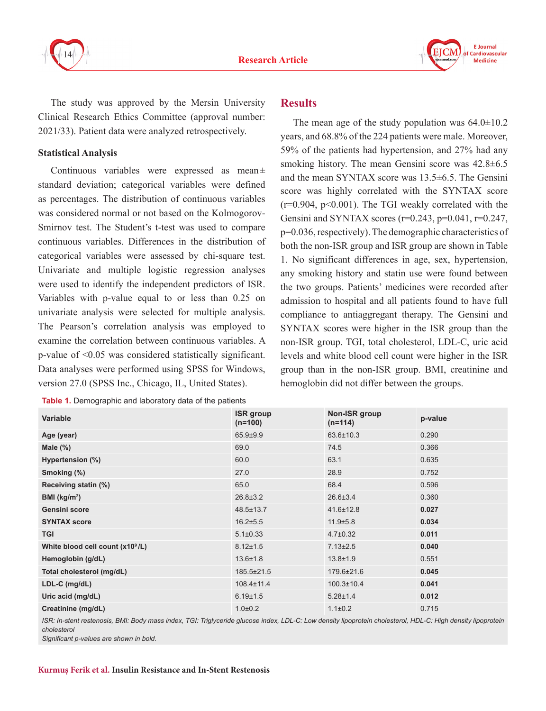



The study was approved by the Mersin University Clinical Research Ethics Committee (approval number: 2021/33). Patient data were analyzed retrospectively.

#### **Statistical Analysis**

Continuous variables were expressed as mean± standard deviation; categorical variables were defined as percentages. The distribution of continuous variables was considered normal or not based on the Kolmogorov-Smirnov test. The Student's t-test was used to compare continuous variables. Differences in the distribution of categorical variables were assessed by chi-square test. Univariate and multiple logistic regression analyses were used to identify the independent predictors of ISR. Variables with p-value equal to or less than 0.25 on univariate analysis were selected for multiple analysis. The Pearson's correlation analysis was employed to examine the correlation between continuous variables. A p-value of <0.05 was considered statistically significant. Data analyses were performed using SPSS for Windows, version 27.0 (SPSS Inc., Chicago, IL, United States).

#### **Results**

The mean age of the study population was  $64.0 \pm 10.2$ years, and 68.8% of the 224 patients were male. Moreover, 59% of the patients had hypertension, and 27% had any smoking history. The mean Gensini score was  $42.8\pm6.5$ and the mean SYNTAX score was 13.5±6.5. The Gensini score was highly correlated with the SYNTAX score  $(r=0.904, p<0.001)$ . The TGI weakly correlated with the Gensini and SYNTAX scores ( $r=0.243$ ,  $p=0.041$ ,  $r=0.247$ , p=0.036, respectively). The demographic characteristics of both the non-ISR group and ISR group are shown in Table 1. No significant differences in age, sex, hypertension, any smoking history and statin use were found between the two groups. Patients' medicines were recorded after admission to hospital and all patients found to have full compliance to antiaggregant therapy. The Gensini and SYNTAX scores were higher in the ISR group than the non-ISR group. TGI, total cholesterol, LDL-C, uric acid levels and white blood cell count were higher in the ISR group than in the non-ISR group. BMI, creatinine and hemoglobin did not differ between the groups.

| <b>Variable</b>                              | <b>ISR</b> group<br>$(n=100)$ | Non-ISR group<br>$(n=114)$ | p-value |
|----------------------------------------------|-------------------------------|----------------------------|---------|
| Age (year)                                   | $65.9 + 9.9$                  | 63.6±10.3                  | 0.290   |
| Male $(\%)$                                  | 69.0                          | 74.5                       | 0.366   |
| Hypertension (%)                             | 60.0                          | 63.1                       | 0.635   |
| Smoking (%)                                  | 27.0                          | 28.9                       | 0.752   |
| Receiving statin (%)                         | 65.0                          | 68.4                       | 0.596   |
| BMI ( $kg/m2$ )                              | $26.8 \pm 3.2$                | $26.6 \pm 3.4$             | 0.360   |
| <b>Gensini score</b>                         | 48.5±13.7                     | $41.6 \pm 12.8$            | 0.027   |
| <b>SYNTAX score</b>                          | $16.2 \pm 5.5$                | $11.9 \pm 5.8$             | 0.034   |
| <b>TGI</b>                                   | $5.1 \pm 0.33$                | $4.7 \pm 0.32$             | 0.011   |
| White blood cell count (x10 <sup>9</sup> /L) | $8.12 \pm 1.5$                | $7.13 \pm 2.5$             | 0.040   |
| Hemoglobin (g/dL)                            | $13.6 \pm 1.8$                | $13.8 + 1.9$               | 0.551   |
| Total cholesterol (mg/dL)                    | 185.5±21.5                    | 179.6±21.6                 | 0.045   |
| LDL-C (mg/dL)                                | $108.4 \pm 11.4$              | $100.3 \pm 10.4$           | 0.041   |
| Uric acid (mg/dL)                            | $6.19 \pm 1.5$                | $5.28 \pm 1.4$             | 0.012   |
| Creatinine (mg/dL)                           | $1.0 + 0.2$                   | $1.1 \pm 0.2$              | 0.715   |

ISR: In-stent restenosis, BMI: Body mass index, TGI: Triglyceride glucose index, LDL-C: Low density lipoprotein cholesterol, HDL-C: High density lipoprotein *cholesterol*

*Significant p-values are shown in bold.*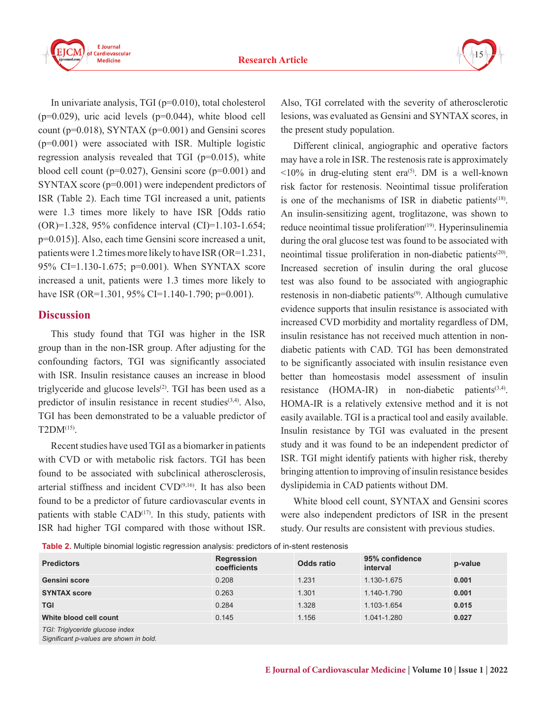

In univariate analysis, TGI (p=0.010), total cholesterol  $(p=0.029)$ , uric acid levels  $(p=0.044)$ , white blood cell count ( $p=0.018$ ), SYNTAX ( $p=0.001$ ) and Gensini scores (p=0.001) were associated with ISR. Multiple logistic regression analysis revealed that TGI (p=0.015), white blood cell count ( $p=0.027$ ), Gensini score ( $p=0.001$ ) and SYNTAX score (p=0.001) were independent predictors of ISR (Table 2). Each time TGI increased a unit, patients were 1.3 times more likely to have ISR [Odds ratio (OR)=1.328, 95% confidence interval (CI)=1.103-1.654; p=0.015)]. Also, each time Gensini score increased a unit, patients were 1.2 times more likely to have ISR (OR=1.231, 95% CI=1.130-1.675; p=0.001). When SYNTAX score increased a unit, patients were 1.3 times more likely to have ISR (OR=1.301, 95% CI=1.140-1.790; p=0.001).

## **Discussion**

This study found that TGI was higher in the ISR group than in the non-ISR group. After adjusting for the confounding factors, TGI was significantly associated with ISR. Insulin resistance causes an increase in blood triglyceride and glucose levels<sup>(2)</sup>. TGI has been used as a predictor of insulin resistance in recent studies<sup>(3,4)</sup>. Also, TGI has been demonstrated to be a valuable predictor of T2DM(15).

Recent studies have used TGI as a biomarker in patients with CVD or with metabolic risk factors. TGI has been found to be associated with subclinical atherosclerosis, arterial stiffness and incident  $CVD^{(9,16)}$ . It has also been found to be a predictor of future cardiovascular events in patients with stable  $CAD<sup>(17)</sup>$ . In this study, patients with ISR had higher TGI compared with those without ISR.

Also, TGI correlated with the severity of atherosclerotic lesions, was evaluated as Gensini and SYNTAX scores, in the present study population.

Different clinical, angiographic and operative factors may have a role in ISR. The restenosis rate is approximately  $\leq 10\%$  in drug-eluting stent era<sup>(5)</sup>. DM is a well-known risk factor for restenosis. Neointimal tissue proliferation is one of the mechanisms of ISR in diabetic patients<sup> $(18)$ </sup>. An insulin-sensitizing agent, troglitazone, was shown to reduce neointimal tissue proliferation<sup>(19)</sup>. Hyperinsulinemia during the oral glucose test was found to be associated with neointimal tissue proliferation in non-diabetic patients<sup>(20)</sup>. Increased secretion of insulin during the oral glucose test was also found to be associated with angiographic restenosis in non-diabetic patients<sup>(9)</sup>. Although cumulative evidence supports that insulin resistance is associated with increased CVD morbidity and mortality regardless of DM, insulin resistance has not received much attention in nondiabetic patients with CAD. TGI has been demonstrated to be significantly associated with insulin resistance even better than homeostasis model assessment of insulin resistance  $(HOMA-IR)$  in non-diabetic patients<sup>(3,4)</sup>. HOMA-IR is a relatively extensive method and it is not easily available. TGI is a practical tool and easily available. Insulin resistance by TGI was evaluated in the present study and it was found to be an independent predictor of ISR. TGI might identify patients with higher risk, thereby bringing attention to improving of insulin resistance besides dyslipidemia in CAD patients without DM.

White blood cell count, SYNTAX and Gensini scores were also independent predictors of ISR in the present study. Our results are consistent with previous studies.

**Table 2.** Multiple binomial logistic regression analysis: predictors of in-stent restenosis

| <b>Predictors</b>               | Regression<br>coefficients | Odds ratio | 95% confidence<br>interval | p-value |
|---------------------------------|----------------------------|------------|----------------------------|---------|
| <b>Gensini score</b>            | 0.208                      | 1.231      | 1.130-1.675                | 0.001   |
| <b>SYNTAX score</b>             | 0.263                      | 1.301      | 1.140-1.790                | 0.001   |
| <b>TGI</b>                      | 0.284                      | 1.328      | 1.103-1.654                | 0.015   |
| White blood cell count          | 0.145                      | 1.156      | 1.041-1.280                | 0.027   |
| TGI: Triglyceride glucose index |                            |            |                            |         |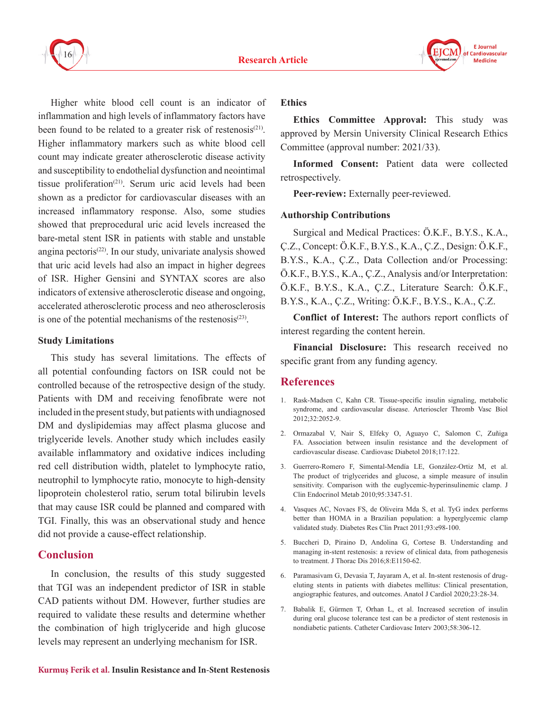



Higher white blood cell count is an indicator of inflammation and high levels of inflammatory factors have been found to be related to a greater risk of restenosis<sup>(21)</sup>. Higher inflammatory markers such as white blood cell count may indicate greater atherosclerotic disease activity and susceptibility to endothelial dysfunction and neointimal tissue proliferation<sup>(21)</sup>. Serum uric acid levels had been shown as a predictor for cardiovascular diseases with an increased inflammatory response. Also, some studies showed that preprocedural uric acid levels increased the bare-metal stent ISR in patients with stable and unstable angina pectoris<sup> $(22)$ </sup>. In our study, univariate analysis showed that uric acid levels had also an impact in higher degrees of ISR. Higher Gensini and SYNTAX scores are also indicators of extensive atherosclerotic disease and ongoing, accelerated atherosclerotic process and neo atherosclerosis is one of the potential mechanisms of the restenosis $(23)$ .

#### **Study Limitations**

This study has several limitations. The effects of all potential confounding factors on ISR could not be controlled because of the retrospective design of the study. Patients with DM and receiving fenofibrate were not included in the present study, but patients with undiagnosed DM and dyslipidemias may affect plasma glucose and triglyceride levels. Another study which includes easily available inflammatory and oxidative indices including red cell distribution width, platelet to lymphocyte ratio, neutrophil to lymphocyte ratio, monocyte to high-density lipoprotein cholesterol ratio, serum total bilirubin levels that may cause ISR could be planned and compared with TGI. Finally, this was an observational study and hence did not provide a cause-effect relationship.

### **Conclusion**

In conclusion, the results of this study suggested that TGI was an independent predictor of ISR in stable CAD patients without DM. However, further studies are required to validate these results and determine whether the combination of high triglyceride and high glucose levels may represent an underlying mechanism for ISR.

#### **Ethics**

**Ethics Committee Approval:** This study was approved by Mersin University Clinical Research Ethics Committee (approval number: 2021/33).

**Informed Consent:** Patient data were collected retrospectively.

**Peer-review:** Externally peer-reviewed.

#### **Authorship Contributions**

Surgical and Medical Practices: Ö.K.F., B.Y.S., K.A., Ç.Z., Concept: Ö.K.F., B.Y.S., K.A., Ç.Z., Design: Ö.K.F., B.Y.S., K.A., Ç.Z., Data Collection and/or Processing: Ö.K.F., B.Y.S., K.A., Ç.Z., Analysis and/or Interpretation: Ö.K.F., B.Y.S., K.A., Ç.Z., Literature Search: Ö.K.F., B.Y.S., K.A., Ç.Z., Writing: Ö.K.F., B.Y.S., K.A., Ç.Z.

**Conflict of Interest:** The authors report conflicts of interest regarding the content herein.

**Financial Disclosure:** This research received no specific grant from any funding agency.

# **References**

- 1. Rask-Madsen C, Kahn CR. Tissue-specific insulin signaling, metabolic syndrome, and cardiovascular disease. Arterioscler Thromb Vasc Biol 2012;32:2052-9.
- 2. Ormazabal V, Nair S, Elfeky O, Aguayo C, Salomon C, Zuñiga FA. Association between insulin resistance and the development of cardiovascular disease. Cardiovasc Diabetol 2018;17:122.
- 3. Guerrero-Romero F, Simental-Mendía LE, González-Ortiz M, et al. The product of triglycerides and glucose, a simple measure of insulin sensitivity. Comparison with the euglycemic-hyperinsulinemic clamp. J Clin Endocrinol Metab 2010;95:3347-51.
- 4. Vasques AC, Novaes FS, de Oliveira Mda S, et al. TyG index performs better than HOMA in a Brazilian population: a hyperglycemic clamp validated study. Diabetes Res Clin Pract 2011;93:e98-100.
- 5. Buccheri D, Piraino D, Andolina G, Cortese B. Understanding and managing in-stent restenosis: a review of clinical data, from pathogenesis to treatment. J Thorac Dis 2016;8:E1150-62.
- 6. Paramasivam G, Devasia T, Jayaram A, et al. In-stent restenosis of drugeluting stents in patients with diabetes mellitus: Clinical presentation, angiographic features, and outcomes. Anatol J Cardiol 2020;23:28-34.
- 7. Babalik E, Gürmen T, Orhan L, et al. Increased secretion of insulin during oral glucose tolerance test can be a predictor of stent restenosis in nondiabetic patients. Catheter Cardiovasc Interv 2003;58:306-12.